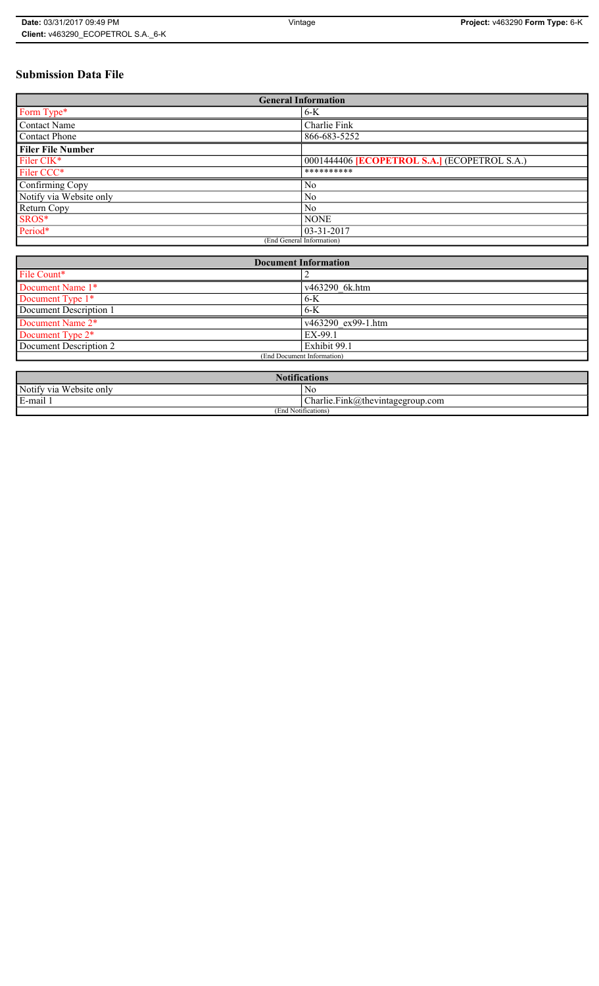# **Submission Data File**

| <b>General Information</b> |                                                   |
|----------------------------|---------------------------------------------------|
| Form Type*                 | $6-K$                                             |
| <b>Contact Name</b>        | Charlie Fink                                      |
| <b>Contact Phone</b>       | 866-683-5252                                      |
| <b>Filer File Number</b>   |                                                   |
| Filer CIK <sup>*</sup>     | 0001444406 <b>ECOPETROL S.A.</b> (ECOPETROL S.A.) |
| Filer CCC*                 | **********                                        |
| Confirming Copy            | No                                                |
| Notify via Website only    | N <sub>0</sub>                                    |
| Return Copy                | N <sub>0</sub>                                    |
| SROS*                      | <b>NONE</b>                                       |
| Period*                    | $03 - 31 - 2017$                                  |
| (End General Information)  |                                                   |

| <b>Document Information</b>  |                    |
|------------------------------|--------------------|
| File Count*                  |                    |
| Document Name 1*             | v463290 6k.htm     |
| Document Type 1*             | 6-K                |
| Document Description 1       | $6-K$              |
| Document Name 2*             | v463290 ex99-1.htm |
| Document Type 2 <sup>*</sup> | EX-99.1            |
| Document Description 2       | Exhibit 99.1       |
| (End Document Information)   |                    |
|                              |                    |

| <b>Notifications</b>    |                                  |  |
|-------------------------|----------------------------------|--|
| Notify via Website only | N0                               |  |
| E-mail 1                | Charlie.Fink@thevintagegroup.com |  |
| (End Notifications)     |                                  |  |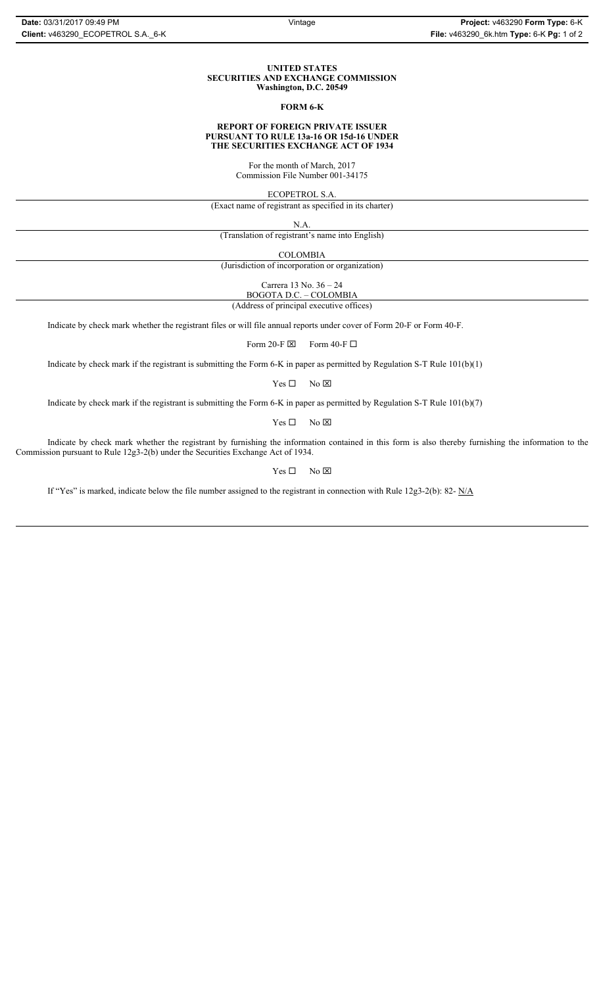#### **UNITED STATES SECURITIES AND EXCHANGE COMMISSION Washington, D.C. 20549**

#### **FORM 6-K**

#### **REPORT OF FOREIGN PRIVATE ISSUER PURSUANT TO RULE 13a-16 OR 15d-16 UNDER THE SECURITIES EXCHANGE ACT OF 1934**

For the month of March, 2017 Commission File Number 001-34175

ECOPETROL S.A.

(Exact name of registrant as specified in its charter)

N.A.

(Translation of registrant's name into English)

COLOMBIA

(Jurisdiction of incorporation or organization)

Carrera 13 No. 36 – 24

BOGOTA D.C. – COLOMBIA (Address of principal executive offices)

Indicate by check mark whether the registrant files or will file annual reports under cover of Form 20-F or Form 40-F.

Form 20-F  $\boxtimes$  Form 40-F  $\Box$ 

Indicate by check mark if the registrant is submitting the Form 6-K in paper as permitted by Regulation S-T Rule 101(b)(1)

 $Yes \Box$  No  $\boxtimes$ 

Indicate by check mark if the registrant is submitting the Form 6-K in paper as permitted by Regulation S-T Rule 101(b)(7)

 $Yes \Box$  No  $\boxtimes$ 

Indicate by check mark whether the registrant by furnishing the information contained in this form is also thereby furnishing the information to the Commission pursuant to Rule 12g3-2(b) under the Securities Exchange Act of 1934.

 $Yes \Box$  No  $\boxtimes$ 

If "Yes" is marked, indicate below the file number assigned to the registrant in connection with Rule 12g3-2(b): 82- N/A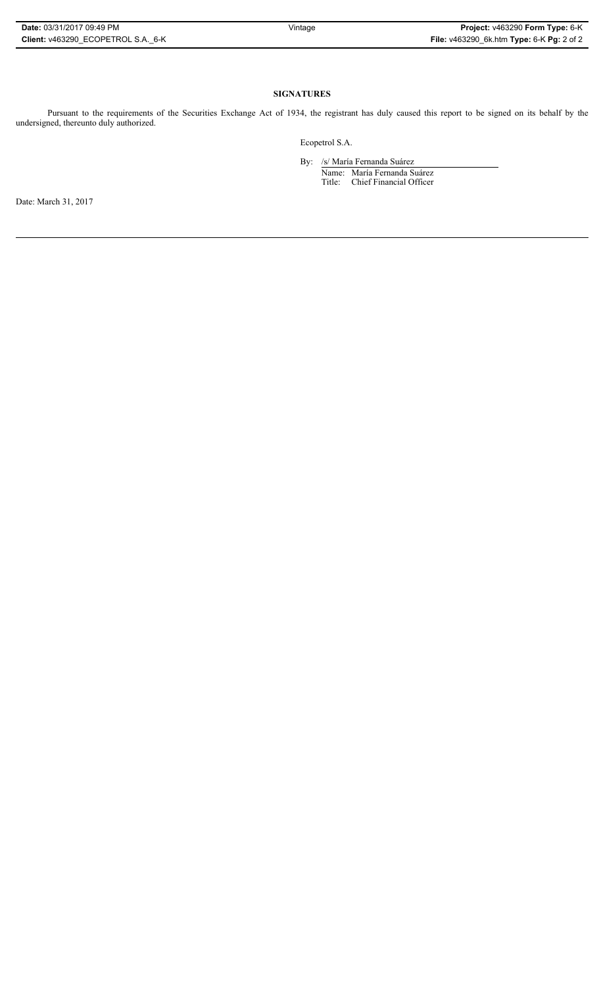## **SIGNATURES**

Pursuant to the requirements of the Securities Exchange Act of 1934, the registrant has duly caused this report to be signed on its behalf by the undersigned, thereunto duly authorized.

Ecopetrol S.A.

By: /s/ María Fernanda Suárez Name: María Fernanda Suárez Title: Chief Financial Officer

Date: March 31, 2017